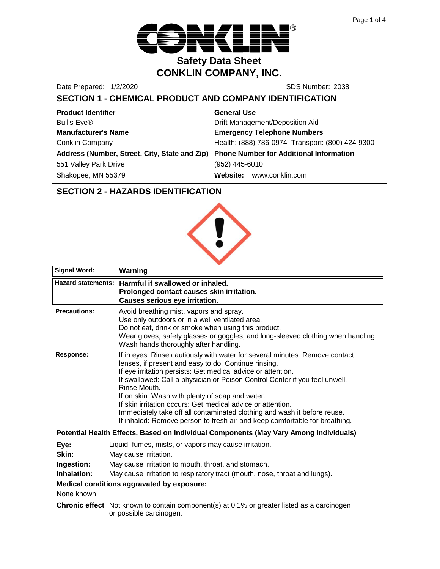

Date Prepared: 1/2/2020 SDS Number: 2038

# **SECTION 1 - CHEMICAL PRODUCT AND COMPANY IDENTIFICATION**

| <b>Product Identifier</b>                     | <b>General Use</b>                               |
|-----------------------------------------------|--------------------------------------------------|
| Bull's-Eye®                                   | Drift Management/Deposition Aid                  |
| <b>Manufacturer's Name</b>                    | <b>Emergency Telephone Numbers</b>               |
| <b>Conklin Company</b>                        | Health: (888) 786-0974 Transport: (800) 424-9300 |
| Address (Number, Street, City, State and Zip) | Phone Number for Additional Information          |
| 551 Valley Park Drive                         | (952) 445-6010                                   |
| Shakopee, MN 55379                            | Website: www.conklin.com                         |

# **SECTION 2 - HAZARDS IDENTIFICATION**



| <b>Signal Word:</b>                                                                   | Warning                                                                                                                                                                                                                                                                                                                                                                                                                                                                                                                                                                        |  |
|---------------------------------------------------------------------------------------|--------------------------------------------------------------------------------------------------------------------------------------------------------------------------------------------------------------------------------------------------------------------------------------------------------------------------------------------------------------------------------------------------------------------------------------------------------------------------------------------------------------------------------------------------------------------------------|--|
|                                                                                       | Hazard statements: Harmful if swallowed or inhaled.<br>Prolonged contact causes skin irritation.<br><b>Causes serious eye irritation.</b>                                                                                                                                                                                                                                                                                                                                                                                                                                      |  |
| <b>Precautions:</b>                                                                   | Avoid breathing mist, vapors and spray.<br>Use only outdoors or in a well ventilated area.<br>Do not eat, drink or smoke when using this product.<br>Wear gloves, safety glasses or goggles, and long-sleeved clothing when handling.<br>Wash hands thoroughly after handling.                                                                                                                                                                                                                                                                                                 |  |
| Response:                                                                             | If in eyes: Rinse cautiously with water for several minutes. Remove contact<br>lenses, if present and easy to do. Continue rinsing.<br>If eye irritation persists: Get medical advice or attention.<br>If swallowed: Call a physician or Poison Control Center if you feel unwell.<br>Rinse Mouth.<br>If on skin: Wash with plenty of soap and water.<br>If skin irritation occurs: Get medical advice or attention.<br>Immediately take off all contaminated clothing and wash it before reuse.<br>If inhaled: Remove person to fresh air and keep comfortable for breathing. |  |
| Potential Health Effects, Based on Individual Components (May Vary Among Individuals) |                                                                                                                                                                                                                                                                                                                                                                                                                                                                                                                                                                                |  |
| Eye:<br>Skin:<br>Ingestion:<br>Inhalation:                                            | Liquid, fumes, mists, or vapors may cause irritation.<br>May cause irritation.<br>May cause irritation to mouth, throat, and stomach.<br>May cause irritation to respiratory tract (mouth, nose, throat and lungs).<br>Medical conditions aggravated by exposure:                                                                                                                                                                                                                                                                                                              |  |
| None known                                                                            |                                                                                                                                                                                                                                                                                                                                                                                                                                                                                                                                                                                |  |
|                                                                                       | <b>Chronic effect</b> Not known to contain component(s) at 0.1% or greater listed as a carcinogen<br>or possible carcinogen.                                                                                                                                                                                                                                                                                                                                                                                                                                                   |  |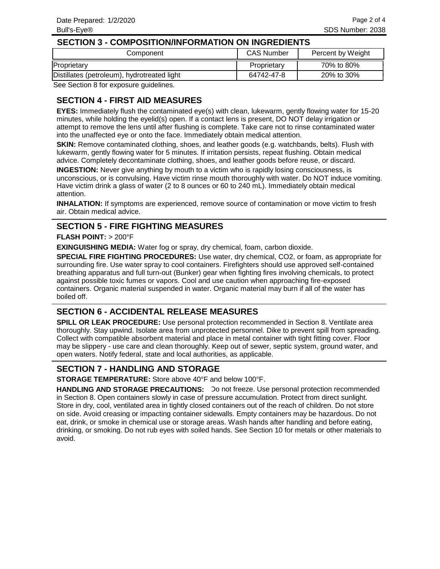#### **SECTION 3 - COMPOSITION/INFORMATION ON INGREDIENTS**

| Component                                   | <b>CAS Number</b> | Percent by Weight |
|---------------------------------------------|-------------------|-------------------|
| Proprietary                                 | Proprietary       | 70% to 80%        |
| Distillates (petroleum), hydrotreated light | 64742-47-8        | 20% to 30%        |

See Section 8 for exposure guidelines.

# **SECTION 4 - FIRST AID MEASURES**

**EYES:** Immediately flush the contaminated eye(s) with clean, lukewarm, gently flowing water for 15-20 minutes, while holding the eyelid(s) open. If a contact lens is present, DO NOT delay irrigation or attempt to remove the lens until after flushing is complete. Take care not to rinse contaminated water into the unaffected eye or onto the face. Immediately obtain medical attention.

**SKIN:** Remove contaminated clothing, shoes, and leather goods (e.g. watchbands, belts). Flush with lukewarm, gently flowing water for 5 minutes. If irritation persists, repeat flushing. Obtain medical advice. Completely decontaminate clothing, shoes, and leather goods before reuse, or discard.

**INGESTION:** Never give anything by mouth to a victim who is rapidly losing consciousness, is unconscious, or is convulsing. Have victim rinse mouth thoroughly with water. Do NOT induce vomiting. Have victim drink a glass of water (2 to 8 ounces or 60 to 240 mL). Immediately obtain medical attention.

**INHALATION:** If symptoms are experienced, remove source of contamination or move victim to fresh air. Obtain medical advice.

#### **SECTION 5 - FIRE FIGHTING MEASURES**

#### **FLASH POINT:** > 200°F

**EXINGUISHING MEDIA:** Water fog or spray, dry chemical, foam, carbon dioxide.

**SPECIAL FIRE FIGHTING PROCEDURES:** Use water, dry chemical, CO2, or foam, as appropriate for surrounding fire. Use water spray to cool containers. Firefighters should use approved self-contained breathing apparatus and full turn-out (Bunker) gear when fighting fires involving chemicals, to protect against possible toxic fumes or vapors. Cool and use caution when approaching fire-exposed containers. Organic material suspended in water. Organic material may burn if all of the water has boiled off.

#### **SECTION 6 - ACCIDENTAL RELEASE MEASURES**

**SPILL OR LEAK PROCEDURE:** Use personal protection recommended in Section 8. Ventilate area thoroughly. Stay upwind. Isolate area from unprotected personnel. Dike to prevent spill from spreading. Collect with compatible absorbent material and place in metal container with tight fitting cover. Floor may be slippery - use care and clean thoroughly. Keep out of sewer, septic system, ground water, and open waters. Notify federal, state and local authorities, as applicable.

#### **SECTION 7 - HANDLING AND STORAGE**

**STORAGE TEMPERATURE:** Store above 40°F and below 100°F.

HANDLING AND STORAGE PRECAUTIONS: Do not freeze. Use personal protection recommended in Section 8. Open containers slowly in case of pressure accumulation. Protect from direct sunlight. Store in dry, cool, ventilated area in tightly closed containers out of the reach of children. Do not store on side. Avoid creasing or impacting container sidewalls. Empty containers may be hazardous. Do not eat, drink, or smoke in chemical use or storage areas. Wash hands after handling and before eating, drinking, or smoking. Do not rub eyes with soiled hands. See Section 10 for metals or other materials to avoid.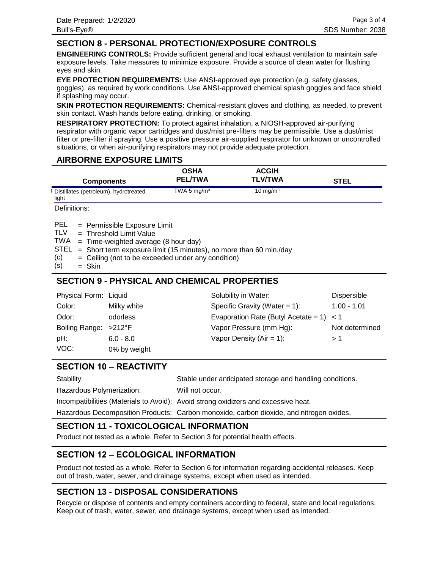## **SECTION 8 - PERSONAL PROTECTION/EXPOSURE CONTROLS**

**ENGINEERING CONTROLS:** Provide sufficient general and local exhaust ventilation to maintain safe exposure levels. Take measures to minimize exposure. Provide a source of clean water for flushing eyes and skin.

**EYE PROTECTION REQUIREMENTS:** Use ANSI-approved eye protection (e.g. safety glasses, goggles), as required by work conditions. Use ANSI-approved chemical splash goggles and face shield if splashing may occur.

**SKIN PROTECTION REQUIREMENTS:** Chemical-resistant gloves and clothing, as needed, to prevent skin contact. Wash hands before eating, drinking, or smoking.

**RESPIRATORY PROTECTION:** To protect against inhalation, a NIOSH-approved air-purifying respirator with organic vapor cartridges and dust/mist pre-filters may be permissible. Use a dust/mist filter or pre-filter if spraying. Use a positive pressure air-supplied respirator for unknown or uncontrolled situations, or when air-purifying respirators may not provide adequate protection.

#### **AIRBORNE EXPOSURE LIMITS**

| <b>Components</b>                              | OSHA<br><b>PEL/TWA</b> | <b>ACGIH</b><br><b>TLV/TWA</b> | STEL |
|------------------------------------------------|------------------------|--------------------------------|------|
| Distillates (petroleum), hydrotreated<br>light | TWA 5 $mg/m3$          | $10 \text{ mg/m}^3$            |      |

Definitions:

= Permissible Exposure Limit PEL

Threshold Limit Value = TLV

TWA = Time-weighted average (8 hour day)

 $STEL = Short term exposure limit (15 minutes), no more than 60 min/day$ 

- Ceiling (not to be exceeded under any condition) = (c)
- Skin = (s)

## **SECTION 9 - PHYSICAL AND CHEMICAL PROPERTIES**

| Physical Form: Liquid |              | Solubility in Water:                        | Dispersible    |
|-----------------------|--------------|---------------------------------------------|----------------|
| Color:                | Milky white  | Specific Gravity (Water = $1$ ):            | $1.00 - 1.01$  |
| Odor:                 | odorless     | Evaporation Rate (Butyl Acetate = 1): $<$ 1 |                |
| Boiling Range: >212°F |              | Vapor Pressure (mm Hg):                     | Not determined |
| pH:                   | $6.0 - 8.0$  | Vapor Density ( $Air = 1$ ):                | >1             |
| VOC:                  | 0% by weight |                                             |                |

## **SECTION 10 – REACTIVITY**

| Stability:                | Stable under anticipated storage and handling conditions.                          |
|---------------------------|------------------------------------------------------------------------------------|
| Hazardous Polymerization: | Will not occur.                                                                    |
|                           | Incompatibilities (Materials to Avoid): Avoid strong oxidizers and excessive heat. |

Hazardous Decomposition Products: Carbon monoxide, carbon dioxide, and nitrogen oxides.

## **SECTION 11 - TOXICOLOGICAL INFORMATION**

Product not tested as a whole. Refer to Section 3 for potential health effects.

## **SECTION 12 – ECOLOGICAL INFORMATION**

Product not tested as a whole. Refer to Section 6 for information regarding accidental releases. Keep out of trash, water, sewer, and drainage systems, except when used as intended.

# **SECTION 13 - DISPOSAL CONSIDERATIONS**

Recycle or dispose of contents and empty containers according to federal, state and local regulations. Keep out of trash, water, sewer, and drainage systems, except when used as intended.